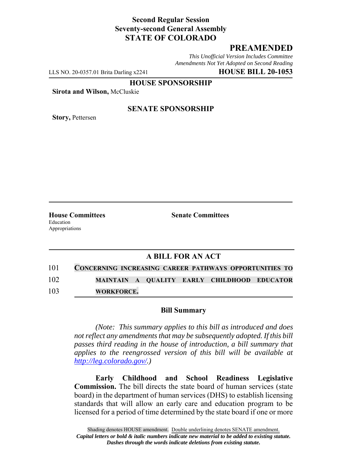## **Second Regular Session Seventy-second General Assembly STATE OF COLORADO**

# **PREAMENDED**

*This Unofficial Version Includes Committee Amendments Not Yet Adopted on Second Reading*

LLS NO. 20-0357.01 Brita Darling x2241 **HOUSE BILL 20-1053**

**HOUSE SPONSORSHIP**

**Sirota and Wilson,** McCluskie

**Story,** Pettersen

#### **SENATE SPONSORSHIP**

Education Appropriations

**House Committees Senate Committees** 

## **A BILL FOR AN ACT**

| 101 |  |  | <b>CONCERNING INCREASING CAREER PATHWAYS OPPORTUNITIES TO</b> |
|-----|--|--|---------------------------------------------------------------|
| 102 |  |  | MAINTAIN A QUALITY EARLY CHILDHOOD EDUCATOR                   |

103 **WORKFORCE.**

## **Bill Summary**

*(Note: This summary applies to this bill as introduced and does not reflect any amendments that may be subsequently adopted. If this bill passes third reading in the house of introduction, a bill summary that applies to the reengrossed version of this bill will be available at http://leg.colorado.gov/.)*

**Early Childhood and School Readiness Legislative Commission.** The bill directs the state board of human services (state board) in the department of human services (DHS) to establish licensing standards that will allow an early care and education program to be licensed for a period of time determined by the state board if one or more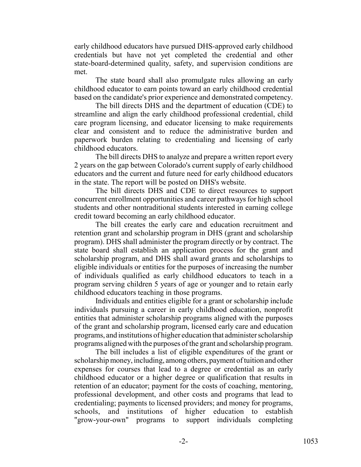early childhood educators have pursued DHS-approved early childhood credentials but have not yet completed the credential and other state-board-determined quality, safety, and supervision conditions are met.

The state board shall also promulgate rules allowing an early childhood educator to earn points toward an early childhood credential based on the candidate's prior experience and demonstrated competency.

The bill directs DHS and the department of education (CDE) to streamline and align the early childhood professional credential, child care program licensing, and educator licensing to make requirements clear and consistent and to reduce the administrative burden and paperwork burden relating to credentialing and licensing of early childhood educators.

The bill directs DHS to analyze and prepare a written report every 2 years on the gap between Colorado's current supply of early childhood educators and the current and future need for early childhood educators in the state. The report will be posted on DHS's website.

The bill directs DHS and CDE to direct resources to support concurrent enrollment opportunities and career pathways for high school students and other nontraditional students interested in earning college credit toward becoming an early childhood educator.

The bill creates the early care and education recruitment and retention grant and scholarship program in DHS (grant and scholarship program). DHS shall administer the program directly or by contract. The state board shall establish an application process for the grant and scholarship program, and DHS shall award grants and scholarships to eligible individuals or entities for the purposes of increasing the number of individuals qualified as early childhood educators to teach in a program serving children 5 years of age or younger and to retain early childhood educators teaching in those programs.

Individuals and entities eligible for a grant or scholarship include individuals pursuing a career in early childhood education, nonprofit entities that administer scholarship programs aligned with the purposes of the grant and scholarship program, licensed early care and education programs, and institutions of higher education that administer scholarship programs aligned with the purposes of the grant and scholarship program.

The bill includes a list of eligible expenditures of the grant or scholarship money, including, among others, payment of tuition and other expenses for courses that lead to a degree or credential as an early childhood educator or a higher degree or qualification that results in retention of an educator; payment for the costs of coaching, mentoring, professional development, and other costs and programs that lead to credentialing; payments to licensed providers; and money for programs, schools, and institutions of higher education to establish "grow-your-own" programs to support individuals completing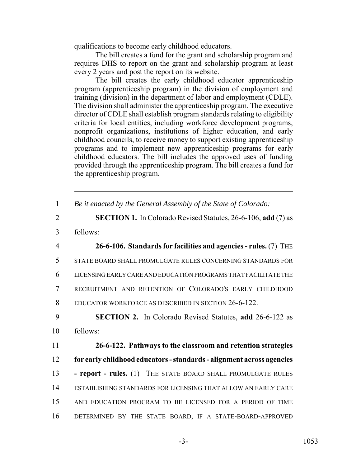qualifications to become early childhood educators.

The bill creates a fund for the grant and scholarship program and requires DHS to report on the grant and scholarship program at least every 2 years and post the report on its website.

The bill creates the early childhood educator apprenticeship program (apprenticeship program) in the division of employment and training (division) in the department of labor and employment (CDLE). The division shall administer the apprenticeship program. The executive director of CDLE shall establish program standards relating to eligibility criteria for local entities, including workforce development programs, nonprofit organizations, institutions of higher education, and early childhood councils, to receive money to support existing apprenticeship programs and to implement new apprenticeship programs for early childhood educators. The bill includes the approved uses of funding provided through the apprenticeship program. The bill creates a fund for the apprenticeship program.

| Be it enacted by the General Assembly of the State of Colorado: |  |  |  |
|-----------------------------------------------------------------|--|--|--|
|                                                                 |  |  |  |

- 2 **SECTION 1.** In Colorado Revised Statutes, 26-6-106, **add** (7) as
- 3 follows:

 **26-6-106. Standards for facilities and agencies - rules.** (7) THE STATE BOARD SHALL PROMULGATE RULES CONCERNING STANDARDS FOR LICENSING EARLY CARE AND EDUCATION PROGRAMS THAT FACILITATE THE RECRUITMENT AND RETENTION OF COLORADO'S EARLY CHILDHOOD EDUCATOR WORKFORCE AS DESCRIBED IN SECTION 26-6-122.

9 **SECTION 2.** In Colorado Revised Statutes, **add** 26-6-122 as 10 follows:

 **26-6-122. Pathways to the classroom and retention strategies for early childhood educators - standards - alignment across agencies - report - rules.** (1) THE STATE BOARD SHALL PROMULGATE RULES ESTABLISHING STANDARDS FOR LICENSING THAT ALLOW AN EARLY CARE AND EDUCATION PROGRAM TO BE LICENSED FOR A PERIOD OF TIME DETERMINED BY THE STATE BOARD, IF A STATE-BOARD-APPROVED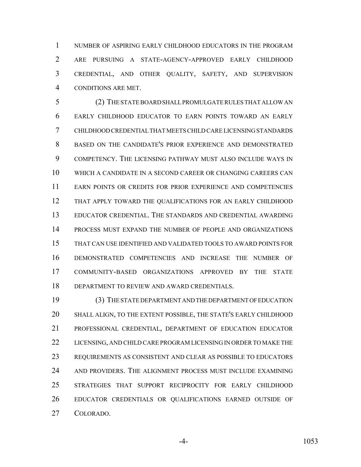NUMBER OF ASPIRING EARLY CHILDHOOD EDUCATORS IN THE PROGRAM ARE PURSUING A STATE-AGENCY-APPROVED EARLY CHILDHOOD CREDENTIAL, AND OTHER QUALITY, SAFETY, AND SUPERVISION CONDITIONS ARE MET.

 (2) THE STATE BOARD SHALL PROMULGATE RULES THAT ALLOW AN EARLY CHILDHOOD EDUCATOR TO EARN POINTS TOWARD AN EARLY CHILDHOOD CREDENTIAL THAT MEETS CHILD CARE LICENSING STANDARDS BASED ON THE CANDIDATE'S PRIOR EXPERIENCE AND DEMONSTRATED COMPETENCY. THE LICENSING PATHWAY MUST ALSO INCLUDE WAYS IN WHICH A CANDIDATE IN A SECOND CAREER OR CHANGING CAREERS CAN EARN POINTS OR CREDITS FOR PRIOR EXPERIENCE AND COMPETENCIES THAT APPLY TOWARD THE QUALIFICATIONS FOR AN EARLY CHILDHOOD EDUCATOR CREDENTIAL. THE STANDARDS AND CREDENTIAL AWARDING PROCESS MUST EXPAND THE NUMBER OF PEOPLE AND ORGANIZATIONS THAT CAN USE IDENTIFIED AND VALIDATED TOOLS TO AWARD POINTS FOR DEMONSTRATED COMPETENCIES AND INCREASE THE NUMBER OF COMMUNITY-BASED ORGANIZATIONS APPROVED BY THE STATE DEPARTMENT TO REVIEW AND AWARD CREDENTIALS.

 (3) THE STATE DEPARTMENT AND THE DEPARTMENT OF EDUCATION SHALL ALIGN, TO THE EXTENT POSSIBLE, THE STATE'S EARLY CHILDHOOD PROFESSIONAL CREDENTIAL, DEPARTMENT OF EDUCATION EDUCATOR 22 LICENSING, AND CHILD CARE PROGRAM LICENSING IN ORDER TO MAKE THE REQUIREMENTS AS CONSISTENT AND CLEAR AS POSSIBLE TO EDUCATORS AND PROVIDERS. THE ALIGNMENT PROCESS MUST INCLUDE EXAMINING STRATEGIES THAT SUPPORT RECIPROCITY FOR EARLY CHILDHOOD EDUCATOR CREDENTIALS OR QUALIFICATIONS EARNED OUTSIDE OF COLORADO.

-4- 1053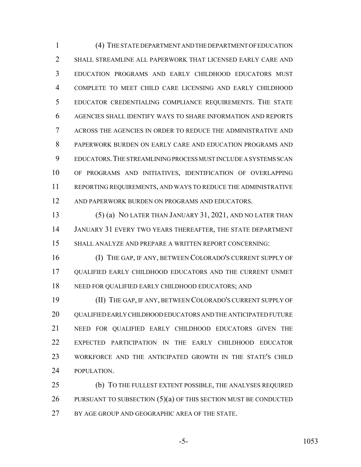(4) THE STATE DEPARTMENT AND THE DEPARTMENT OF EDUCATION SHALL STREAMLINE ALL PAPERWORK THAT LICENSED EARLY CARE AND EDUCATION PROGRAMS AND EARLY CHILDHOOD EDUCATORS MUST COMPLETE TO MEET CHILD CARE LICENSING AND EARLY CHILDHOOD EDUCATOR CREDENTIALING COMPLIANCE REQUIREMENTS. THE STATE AGENCIES SHALL IDENTIFY WAYS TO SHARE INFORMATION AND REPORTS ACROSS THE AGENCIES IN ORDER TO REDUCE THE ADMINISTRATIVE AND PAPERWORK BURDEN ON EARLY CARE AND EDUCATION PROGRAMS AND EDUCATORS.THE STREAMLINING PROCESS MUST INCLUDE A SYSTEMS SCAN OF PROGRAMS AND INITIATIVES, IDENTIFICATION OF OVERLAPPING REPORTING REQUIREMENTS, AND WAYS TO REDUCE THE ADMINISTRATIVE 12 AND PAPERWORK BURDEN ON PROGRAMS AND EDUCATORS.

 (5) (a) NO LATER THAN JANUARY 31, 2021, AND NO LATER THAN JANUARY 31 EVERY TWO YEARS THEREAFTER, THE STATE DEPARTMENT SHALL ANALYZE AND PREPARE A WRITTEN REPORT CONCERNING:

 (I) THE GAP, IF ANY, BETWEEN COLORADO'S CURRENT SUPPLY OF QUALIFIED EARLY CHILDHOOD EDUCATORS AND THE CURRENT UNMET NEED FOR QUALIFIED EARLY CHILDHOOD EDUCATORS; AND

 (II) THE GAP, IF ANY, BETWEEN COLORADO'S CURRENT SUPPLY OF QUALIFIED EARLY CHILDHOOD EDUCATORS AND THE ANTICIPATED FUTURE NEED FOR QUALIFIED EARLY CHILDHOOD EDUCATORS GIVEN THE EXPECTED PARTICIPATION IN THE EARLY CHILDHOOD EDUCATOR WORKFORCE AND THE ANTICIPATED GROWTH IN THE STATE'S CHILD POPULATION.

 (b) TO THE FULLEST EXTENT POSSIBLE, THE ANALYSES REQUIRED 26 PURSUANT TO SUBSECTION (5)(a) OF THIS SECTION MUST BE CONDUCTED BY AGE GROUP AND GEOGRAPHIC AREA OF THE STATE.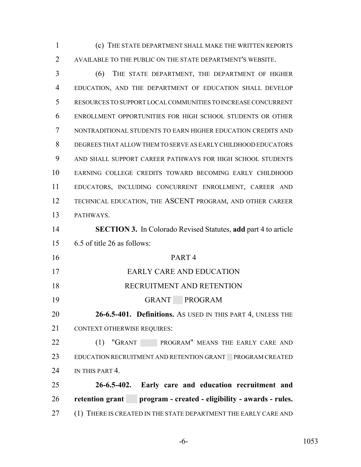(c) THE STATE DEPARTMENT SHALL MAKE THE WRITTEN REPORTS AVAILABLE TO THE PUBLIC ON THE STATE DEPARTMENT'S WEBSITE.

 (6) THE STATE DEPARTMENT, THE DEPARTMENT OF HIGHER EDUCATION, AND THE DEPARTMENT OF EDUCATION SHALL DEVELOP RESOURCES TO SUPPORT LOCAL COMMUNITIES TO INCREASE CONCURRENT ENROLLMENT OPPORTUNITIES FOR HIGH SCHOOL STUDENTS OR OTHER NONTRADITIONAL STUDENTS TO EARN HIGHER EDUCATION CREDITS AND DEGREES THAT ALLOW THEM TO SERVE AS EARLY CHILDHOOD EDUCATORS AND SHALL SUPPORT CAREER PATHWAYS FOR HIGH SCHOOL STUDENTS EARNING COLLEGE CREDITS TOWARD BECOMING EARLY CHILDHOOD EDUCATORS, INCLUDING CONCURRENT ENROLLMENT, CAREER AND TECHNICAL EDUCATION, THE ASCENT PROGRAM, AND OTHER CAREER PATHWAYS.

 **SECTION 3.** In Colorado Revised Statutes, **add** part 4 to article 6.5 of title 26 as follows:

 PART 4 EARLY CARE AND EDUCATION RECRUITMENT AND RETENTION GRANT PROGRAM

 **26-6.5-401. Definitions.** AS USED IN THIS PART 4, UNLESS THE 21 CONTEXT OTHERWISE REQUIRES:

22 (1) "GRANT PROGRAM" MEANS THE EARLY CARE AND 23 EDUCATION RECRUITMENT AND RETENTION GRANT PROGRAM CREATED 24 IN THIS PART 4.

 **26-6.5-402. Early care and education recruitment and retention grant program - created - eligibility - awards - rules.** 27 (1) THERE IS CREATED IN THE STATE DEPARTMENT THE EARLY CARE AND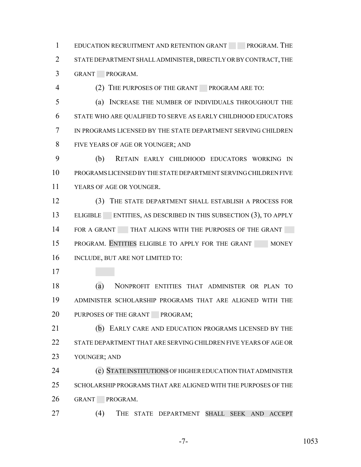1 EDUCATION RECRUITMENT AND RETENTION GRANT PROGRAM. THE STATE DEPARTMENT SHALL ADMINISTER, DIRECTLY OR BY CONTRACT, THE GRANT PROGRAM.

(2) THE PURPOSES OF THE GRANT PROGRAM ARE TO:

 (a) INCREASE THE NUMBER OF INDIVIDUALS THROUGHOUT THE STATE WHO ARE QUALIFIED TO SERVE AS EARLY CHILDHOOD EDUCATORS IN PROGRAMS LICENSED BY THE STATE DEPARTMENT SERVING CHILDREN FIVE YEARS OF AGE OR YOUNGER; AND

 (b) RETAIN EARLY CHILDHOOD EDUCATORS WORKING IN PROGRAMS LICENSED BY THE STATE DEPARTMENT SERVING CHILDREN FIVE YEARS OF AGE OR YOUNGER.

 (3) THE STATE DEPARTMENT SHALL ESTABLISH A PROCESS FOR 13 ELIGIBLE ENTITIES, AS DESCRIBED IN THIS SUBSECTION (3), TO APPLY 14 FOR A GRANT THAT ALIGNS WITH THE PURPOSES OF THE GRANT 15 PROGRAM. ENTITIES ELIGIBLE TO APPLY FOR THE GRANT MONEY INCLUDE, BUT ARE NOT LIMITED TO:

 (a) NONPROFIT ENTITIES THAT ADMINISTER OR PLAN TO ADMINISTER SCHOLARSHIP PROGRAMS THAT ARE ALIGNED WITH THE 20 PURPOSES OF THE GRANT PROGRAM;

**(b)** EARLY CARE AND EDUCATION PROGRAMS LICENSED BY THE STATE DEPARTMENT THAT ARE SERVING CHILDREN FIVE YEARS OF AGE OR YOUNGER; AND

 (c) STATE INSTITUTIONS OF HIGHER EDUCATION THAT ADMINISTER SCHOLARSHIP PROGRAMS THAT ARE ALIGNED WITH THE PURPOSES OF THE GRANT PROGRAM.

(4) THE STATE DEPARTMENT SHALL SEEK AND ACCEPT

-7- 1053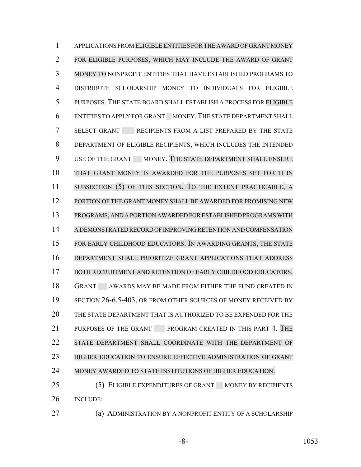APPLICATIONS FROM ELIGIBLE ENTITIES FORTHE AWARD OFGRANT MONEY FOR ELIGIBLE PURPOSES, WHICH MAY INCLUDE THE AWARD OF GRANT MONEY TO NONPROFIT ENTITIES THAT HAVE ESTABLISHED PROGRAMS TO DISTRIBUTE SCHOLARSHIP MONEY TO INDIVIDUALS FOR ELIGIBLE PURPOSES. THE STATE BOARD SHALL ESTABLISH A PROCESS FOR ELIGIBLE ENTITIES TO APPLY FOR GRANT MONEY.THE STATE DEPARTMENT SHALL 7 SELECT GRANT RECIPIENTS FROM A LIST PREPARED BY THE STATE DEPARTMENT OF ELIGIBLE RECIPIENTS, WHICH INCLUDES THE INTENDED 9 USE OF THE GRANT MONEY. THE STATE DEPARTMENT SHALL ENSURE THAT GRANT MONEY IS AWARDED FOR THE PURPOSES SET FORTH IN SUBSECTION (5) OF THIS SECTION. TO THE EXTENT PRACTICABLE, A 12 PORTION OF THE GRANT MONEY SHALL BE AWARDED FOR PROMISING NEW PROGRAMS, AND A PORTION AWARDED FORESTABLISHED PROGRAMS WITH A DEMONSTRATED RECORD OF IMPROVING RETENTION AND COMPENSATION FOR EARLY CHILDHOOD EDUCATORS. IN AWARDING GRANTS, THE STATE DEPARTMENT SHALL PRIORITIZE GRANT APPLICATIONS THAT ADDRESS BOTH RECRUITMENT AND RETENTION OF EARLY CHILDHOOD EDUCATORS. 18 GRANT AWARDS MAY BE MADE FROM EITHER THE FUND CREATED IN 19 SECTION 26-6.5-403, OR FROM OTHER SOURCES OF MONEY RECEIVED BY THE STATE DEPARTMENT THAT IS AUTHORIZED TO BE EXPENDED FOR THE PURPOSES OF THE GRANT PROGRAM CREATED IN THIS PART 4. THE STATE DEPARTMENT SHALL COORDINATE WITH THE DEPARTMENT OF HIGHER EDUCATION TO ENSURE EFFECTIVE ADMINISTRATION OF GRANT MONEY AWARDED TO STATE INSTITUTIONS OF HIGHER EDUCATION. 25 (5) ELIGIBLE EXPENDITURES OF GRANT MONEY BY RECIPIENTS INCLUDE:

(a) ADMINISTRATION BY A NONPROFIT ENTITY OF A SCHOLARSHIP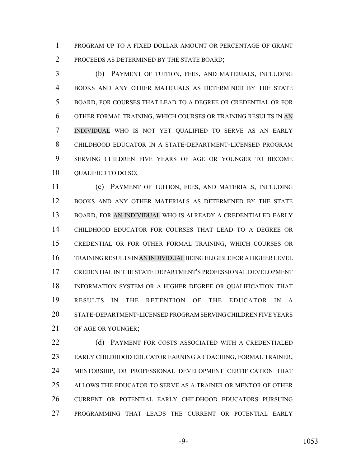PROGRAM UP TO A FIXED DOLLAR AMOUNT OR PERCENTAGE OF GRANT PROCEEDS AS DETERMINED BY THE STATE BOARD;

 (b) PAYMENT OF TUITION, FEES, AND MATERIALS, INCLUDING BOOKS AND ANY OTHER MATERIALS AS DETERMINED BY THE STATE BOARD, FOR COURSES THAT LEAD TO A DEGREE OR CREDENTIAL OR FOR OTHER FORMAL TRAINING, WHICH COURSES OR TRAINING RESULTS IN AN INDIVIDUAL WHO IS NOT YET QUALIFIED TO SERVE AS AN EARLY CHILDHOOD EDUCATOR IN A STATE-DEPARTMENT-LICENSED PROGRAM SERVING CHILDREN FIVE YEARS OF AGE OR YOUNGER TO BECOME 10 QUALIFIED TO DO SO;

 (c) PAYMENT OF TUITION, FEES, AND MATERIALS, INCLUDING BOOKS AND ANY OTHER MATERIALS AS DETERMINED BY THE STATE BOARD, FOR AN INDIVIDUAL WHO IS ALREADY A CREDENTIALED EARLY CHILDHOOD EDUCATOR FOR COURSES THAT LEAD TO A DEGREE OR CREDENTIAL OR FOR OTHER FORMAL TRAINING, WHICH COURSES OR TRAINING RESULTS IN AN INDIVIDUAL BEING ELIGIBLE FOR A HIGHER LEVEL CREDENTIAL IN THE STATE DEPARTMENT'S PROFESSIONAL DEVELOPMENT INFORMATION SYSTEM OR A HIGHER DEGREE OR QUALIFICATION THAT RESULTS IN THE RETENTION OF THE EDUCATOR IN A STATE-DEPARTMENT-LICENSED PROGRAM SERVING CHILDREN FIVE YEARS 21 OF AGE OR YOUNGER:

22 (d) PAYMENT FOR COSTS ASSOCIATED WITH A CREDENTIALED EARLY CHILDHOOD EDUCATOR EARNING A COACHING, FORMAL TRAINER, MENTORSHIP, OR PROFESSIONAL DEVELOPMENT CERTIFICATION THAT ALLOWS THE EDUCATOR TO SERVE AS A TRAINER OR MENTOR OF OTHER CURRENT OR POTENTIAL EARLY CHILDHOOD EDUCATORS PURSUING PROGRAMMING THAT LEADS THE CURRENT OR POTENTIAL EARLY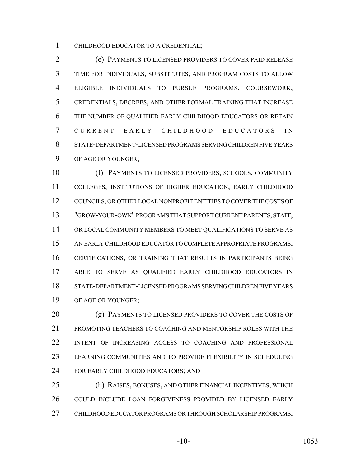CHILDHOOD EDUCATOR TO A CREDENTIAL;

 (e) PAYMENTS TO LICENSED PROVIDERS TO COVER PAID RELEASE TIME FOR INDIVIDUALS, SUBSTITUTES, AND PROGRAM COSTS TO ALLOW ELIGIBLE INDIVIDUALS TO PURSUE PROGRAMS, COURSEWORK, CREDENTIALS, DEGREES, AND OTHER FORMAL TRAINING THAT INCREASE THE NUMBER OF QUALIFIED EARLY CHILDHOOD EDUCATORS OR RETAIN CURRENT EARLY CHILDHOOD EDUCATORS IN STATE-DEPARTMENT-LICENSED PROGRAMS SERVING CHILDREN FIVE YEARS OF AGE OR YOUNGER;

 (f) PAYMENTS TO LICENSED PROVIDERS, SCHOOLS, COMMUNITY COLLEGES, INSTITUTIONS OF HIGHER EDUCATION, EARLY CHILDHOOD COUNCILS, OR OTHER LOCAL NONPROFIT ENTITIES TO COVER THE COSTS OF "GROW-YOUR-OWN" PROGRAMS THAT SUPPORT CURRENT PARENTS, STAFF, OR LOCAL COMMUNITY MEMBERS TO MEET QUALIFICATIONS TO SERVE AS AN EARLY CHILDHOOD EDUCATOR TO COMPLETE APPROPRIATE PROGRAMS, CERTIFICATIONS, OR TRAINING THAT RESULTS IN PARTICIPANTS BEING ABLE TO SERVE AS QUALIFIED EARLY CHILDHOOD EDUCATORS IN STATE-DEPARTMENT-LICENSED PROGRAMS SERVING CHILDREN FIVE YEARS OF AGE OR YOUNGER;

20 (g) PAYMENTS TO LICENSED PROVIDERS TO COVER THE COSTS OF PROMOTING TEACHERS TO COACHING AND MENTORSHIP ROLES WITH THE INTENT OF INCREASING ACCESS TO COACHING AND PROFESSIONAL LEARNING COMMUNITIES AND TO PROVIDE FLEXIBILITY IN SCHEDULING 24 FOR EARLY CHILDHOOD EDUCATORS; AND

 (h) RAISES, BONUSES, AND OTHER FINANCIAL INCENTIVES, WHICH COULD INCLUDE LOAN FORGIVENESS PROVIDED BY LICENSED EARLY CHILDHOOD EDUCATOR PROGRAMS OR THROUGH SCHOLARSHIP PROGRAMS,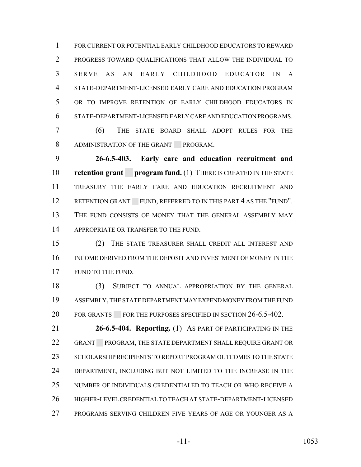FOR CURRENT OR POTENTIAL EARLY CHILDHOOD EDUCATORS TO REWARD PROGRESS TOWARD QUALIFICATIONS THAT ALLOW THE INDIVIDUAL TO SERVE AS AN EARLY CHILDHOOD EDUCATOR IN A STATE-DEPARTMENT-LICENSED EARLY CARE AND EDUCATION PROGRAM OR TO IMPROVE RETENTION OF EARLY CHILDHOOD EDUCATORS IN STATE-DEPARTMENT-LICENSED EARLY CARE AND EDUCATION PROGRAMS.

 (6) THE STATE BOARD SHALL ADOPT RULES FOR THE 8 ADMINISTRATION OF THE GRANT PROGRAM.

 **26-6.5-403. Early care and education recruitment and retention grant** program fund. (1) THERE IS CREATED IN THE STATE TREASURY THE EARLY CARE AND EDUCATION RECRUITMENT AND 12 RETENTION GRANT FUND, REFERRED TO IN THIS PART 4 AS THE "FUND". THE FUND CONSISTS OF MONEY THAT THE GENERAL ASSEMBLY MAY 14 APPROPRIATE OR TRANSFER TO THE FUND.

 (2) THE STATE TREASURER SHALL CREDIT ALL INTEREST AND INCOME DERIVED FROM THE DEPOSIT AND INVESTMENT OF MONEY IN THE 17 FUND TO THE FUND.

 (3) SUBJECT TO ANNUAL APPROPRIATION BY THE GENERAL ASSEMBLY, THE STATE DEPARTMENT MAY EXPEND MONEY FROM THE FUND 20 FOR GRANTS FOR THE PURPOSES SPECIFIED IN SECTION 26-6.5-402.

 **26-6.5-404. Reporting.** (1) AS PART OF PARTICIPATING IN THE 22 GRANT PROGRAM, THE STATE DEPARTMENT SHALL REQUIRE GRANT OR 23 SCHOLARSHIP RECIPIENTS TO REPORT PROGRAM OUTCOMES TO THE STATE DEPARTMENT, INCLUDING BUT NOT LIMITED TO THE INCREASE IN THE NUMBER OF INDIVIDUALS CREDENTIALED TO TEACH OR WHO RECEIVE A HIGHER-LEVEL CREDENTIAL TO TEACH AT STATE-DEPARTMENT-LICENSED PROGRAMS SERVING CHILDREN FIVE YEARS OF AGE OR YOUNGER AS A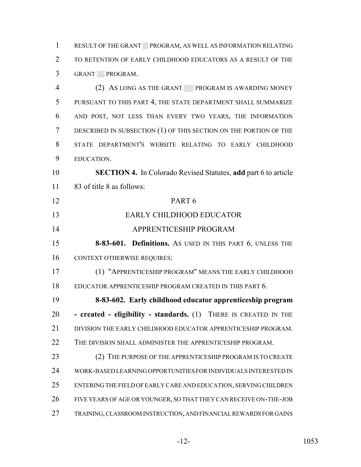RESULT OF THE GRANT PROGRAM, AS WELL AS INFORMATION RELATING TO RETENTION OF EARLY CHILDHOOD EDUCATORS AS A RESULT OF THE GRANT PROGRAM.

 (2) AS LONG AS THE GRANT PROGRAM IS AWARDING MONEY PURSUANT TO THIS PART 4, THE STATE DEPARTMENT SHALL SUMMARIZE AND POST, NOT LESS THAN EVERY TWO YEARS, THE INFORMATION DESCRIBED IN SUBSECTION (1) OF THIS SECTION ON THE PORTION OF THE STATE DEPARTMENT'S WEBSITE RELATING TO EARLY CHILDHOOD EDUCATION.

 **SECTION 4.** In Colorado Revised Statutes, **add** part 6 to article 83 of title 8 as follows:

 PART 6 EARLY CHILDHOOD EDUCATOR

APPRENTICESHIP PROGRAM

 **8-83-601. Definitions.** AS USED IN THIS PART 6, UNLESS THE CONTEXT OTHERWISE REQUIRES:

 (1) "APPRENTICESHIP PROGRAM" MEANS THE EARLY CHILDHOOD EDUCATOR APPRENTICESHIP PROGRAM CREATED IN THIS PART 6.

 **8-83-602. Early childhood educator apprenticeship program - created - eligibility - standards.** (1) THERE IS CREATED IN THE 21 DIVISION THE EARLY CHILDHOOD EDUCATOR APPRENTICESHIP PROGRAM. 22 THE DIVISION SHALL ADMINISTER THE APPRENTICESHIP PROGRAM.

23 (2) THE PURPOSE OF THE APPRENTICESHIP PROGRAM IS TO CREATE WORK-BASED LEARNING OPPORTUNITIES FOR INDIVIDUALS INTERESTED IN ENTERING THE FIELD OF EARLY CARE AND EDUCATION, SERVING CHILDREN FIVE YEARS OF AGE OR YOUNGER, SO THAT THEY CAN RECEIVE ON-THE-JOB TRAINING, CLASSROOM INSTRUCTION, AND FINANCIAL REWARDS FOR GAINS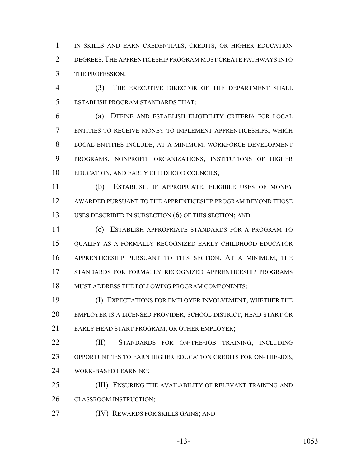1 IN SKILLS AND EARN CREDENTIALS, CREDITS, OR HIGHER EDUCATION DEGREES.THE APPRENTICESHIP PROGRAM MUST CREATE PATHWAYS INTO THE PROFESSION.

 (3) THE EXECUTIVE DIRECTOR OF THE DEPARTMENT SHALL ESTABLISH PROGRAM STANDARDS THAT:

 (a) DEFINE AND ESTABLISH ELIGIBILITY CRITERIA FOR LOCAL ENTITIES TO RECEIVE MONEY TO IMPLEMENT APPRENTICESHIPS, WHICH LOCAL ENTITIES INCLUDE, AT A MINIMUM, WORKFORCE DEVELOPMENT PROGRAMS, NONPROFIT ORGANIZATIONS, INSTITUTIONS OF HIGHER EDUCATION, AND EARLY CHILDHOOD COUNCILS;

 (b) ESTABLISH, IF APPROPRIATE, ELIGIBLE USES OF MONEY AWARDED PURSUANT TO THE APPRENTICESHIP PROGRAM BEYOND THOSE USES DESCRIBED IN SUBSECTION (6) OF THIS SECTION; AND

 (c) ESTABLISH APPROPRIATE STANDARDS FOR A PROGRAM TO QUALIFY AS A FORMALLY RECOGNIZED EARLY CHILDHOOD EDUCATOR APPRENTICESHIP PURSUANT TO THIS SECTION. AT A MINIMUM, THE STANDARDS FOR FORMALLY RECOGNIZED APPRENTICESHIP PROGRAMS MUST ADDRESS THE FOLLOWING PROGRAM COMPONENTS:

 (I) EXPECTATIONS FOR EMPLOYER INVOLVEMENT, WHETHER THE EMPLOYER IS A LICENSED PROVIDER, SCHOOL DISTRICT, HEAD START OR EARLY HEAD START PROGRAM, OR OTHER EMPLOYER;

 (II) STANDARDS FOR ON-THE-JOB TRAINING, INCLUDING OPPORTUNITIES TO EARN HIGHER EDUCATION CREDITS FOR ON-THE-JOB, WORK-BASED LEARNING;

 (III) ENSURING THE AVAILABILITY OF RELEVANT TRAINING AND CLASSROOM INSTRUCTION;

(IV) REWARDS FOR SKILLS GAINS; AND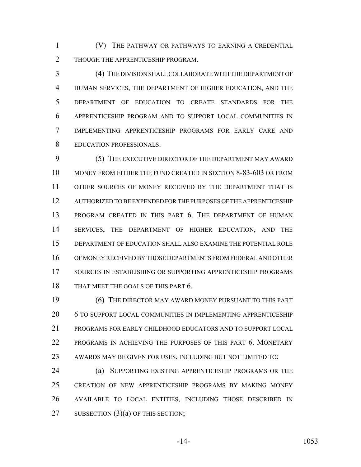(V) THE PATHWAY OR PATHWAYS TO EARNING A CREDENTIAL 2 THOUGH THE APPRENTICESHIP PROGRAM.

 (4) THE DIVISION SHALL COLLABORATE WITH THE DEPARTMENT OF HUMAN SERVICES, THE DEPARTMENT OF HIGHER EDUCATION, AND THE DEPARTMENT OF EDUCATION TO CREATE STANDARDS FOR THE APPRENTICESHIP PROGRAM AND TO SUPPORT LOCAL COMMUNITIES IN IMPLEMENTING APPRENTICESHIP PROGRAMS FOR EARLY CARE AND EDUCATION PROFESSIONALS.

 (5) THE EXECUTIVE DIRECTOR OF THE DEPARTMENT MAY AWARD MONEY FROM EITHER THE FUND CREATED IN SECTION 8-83-603 OR FROM OTHER SOURCES OF MONEY RECEIVED BY THE DEPARTMENT THAT IS AUTHORIZED TO BE EXPENDED FOR THE PURPOSES OF THE APPRENTICESHIP PROGRAM CREATED IN THIS PART 6. THE DEPARTMENT OF HUMAN SERVICES, THE DEPARTMENT OF HIGHER EDUCATION, AND THE DEPARTMENT OF EDUCATION SHALL ALSO EXAMINE THE POTENTIAL ROLE OF MONEY RECEIVED BY THOSE DEPARTMENTS FROM FEDERAL AND OTHER SOURCES IN ESTABLISHING OR SUPPORTING APPRENTICESHIP PROGRAMS 18 THAT MEET THE GOALS OF THIS PART 6.

 (6) THE DIRECTOR MAY AWARD MONEY PURSUANT TO THIS PART 6 TO SUPPORT LOCAL COMMUNITIES IN IMPLEMENTING APPRENTICESHIP PROGRAMS FOR EARLY CHILDHOOD EDUCATORS AND TO SUPPORT LOCAL PROGRAMS IN ACHIEVING THE PURPOSES OF THIS PART 6. MONETARY AWARDS MAY BE GIVEN FOR USES, INCLUDING BUT NOT LIMITED TO:

 (a) SUPPORTING EXISTING APPRENTICESHIP PROGRAMS OR THE CREATION OF NEW APPRENTICESHIP PROGRAMS BY MAKING MONEY AVAILABLE TO LOCAL ENTITIES, INCLUDING THOSE DESCRIBED IN 27 SUBSECTION (3)(a) OF THIS SECTION;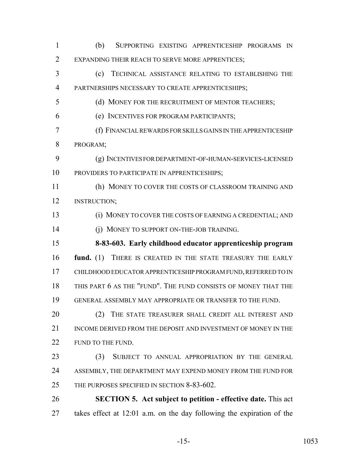EXPANDING THEIR REACH TO SERVE MORE APPRENTICES; (c) TECHNICAL ASSISTANCE RELATING TO ESTABLISHING THE PARTNERSHIPS NECESSARY TO CREATE APPRENTICESHIPS; 5 (d) MONEY FOR THE RECRUITMENT OF MENTOR TEACHERS; (e) INCENTIVES FOR PROGRAM PARTICIPANTS; (f) FINANCIAL REWARDS FOR SKILLS GAINS IN THE APPRENTICESHIP PROGRAM; (g) INCENTIVES FOR DEPARTMENT-OF-HUMAN-SERVICES-LICENSED PROVIDERS TO PARTICIPATE IN APPRENTICESHIPS; (h) MONEY TO COVER THE COSTS OF CLASSROOM TRAINING AND INSTRUCTION; (i) MONEY TO COVER THE COSTS OF EARNING A CREDENTIAL; AND 14 (j) MONEY TO SUPPORT ON-THE-JOB TRAINING. **8-83-603. Early childhood educator apprenticeship program fund.** (1) THERE IS CREATED IN THE STATE TREASURY THE EARLY CHILDHOOD EDUCATOR APPRENTICESHIP PROGRAM FUND, REFERRED TO IN THIS PART 6 AS THE "FUND". THE FUND CONSISTS OF MONEY THAT THE GENERAL ASSEMBLY MAY APPROPRIATE OR TRANSFER TO THE FUND. 20 (2) THE STATE TREASURER SHALL CREDIT ALL INTEREST AND 21 INCOME DERIVED FROM THE DEPOSIT AND INVESTMENT OF MONEY IN THE 22 FUND TO THE FUND. (3) SUBJECT TO ANNUAL APPROPRIATION BY THE GENERAL 24 ASSEMBLY, THE DEPARTMENT MAY EXPEND MONEY FROM THE FUND FOR THE PURPOSES SPECIFIED IN SECTION 8-83-602. **SECTION 5. Act subject to petition - effective date.** This act takes effect at 12:01 a.m. on the day following the expiration of the

(b) SUPPORTING EXISTING APPRENTICESHIP PROGRAMS IN

-15- 1053